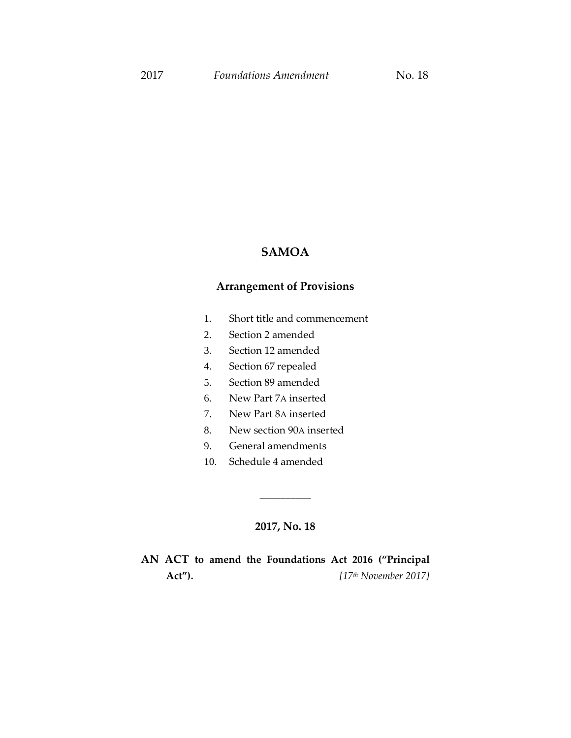## **SAMOA**

## **Arrangement of Provisions**

- 1. Short title and commencement
- 2. Section 2 amended
- 3. Section 12 amended
- 4. Section 67 repealed
- 5. Section 89 amended
- 6. New Part 7A inserted
- 7. New Part 8A inserted
- 8. New section 90A inserted
- 9. General amendments
- 10. Schedule 4 amended

## **2017, No. 18**

\_\_\_\_\_\_\_\_\_\_

## **AN ACT to amend the Foundations Act 2016 ("Principal Act").** *[17th November 2017]*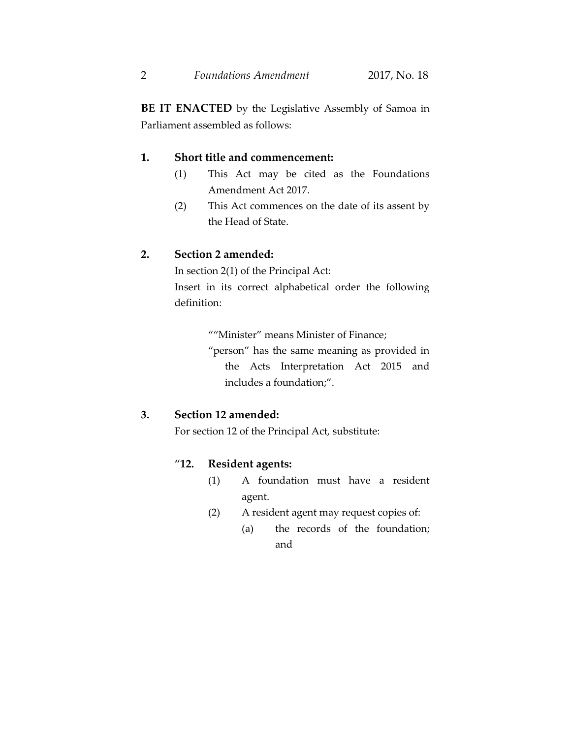**BE IT ENACTED** by the Legislative Assembly of Samoa in Parliament assembled as follows:

## **1. Short title and commencement:**

- (1) This Act may be cited as the Foundations Amendment Act 2017.
- (2) This Act commences on the date of its assent by the Head of State.

## **2. Section 2 amended:**

In section 2(1) of the Principal Act: Insert in its correct alphabetical order the following definition:

""Minister" means Minister of Finance;

"person" has the same meaning as provided in the Acts Interpretation Act 2015 and includes a foundation;".

## **3. Section 12 amended:**

For section 12 of the Principal Act, substitute:

## "**12. Resident agents:**

- (1) A foundation must have a resident agent.
- (2) A resident agent may request copies of:
	- (a) the records of the foundation; and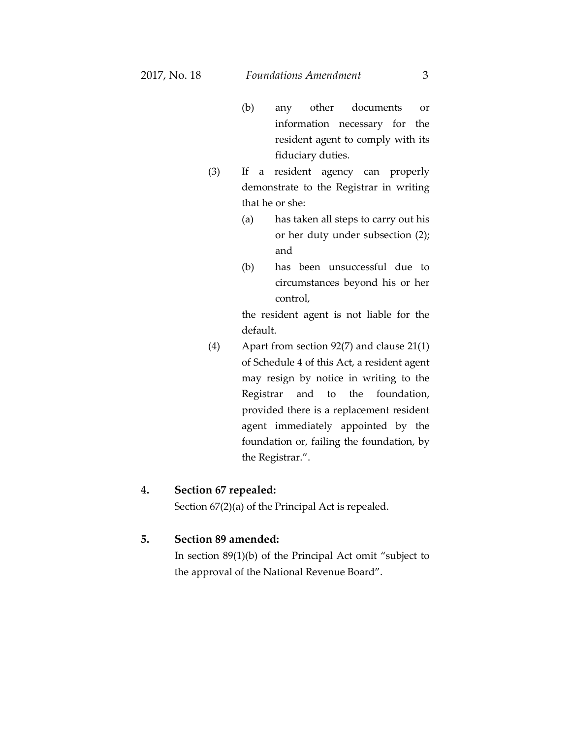- (b) any other documents or information necessary for the resident agent to comply with its fiduciary duties.
- (3) If a resident agency can properly demonstrate to the Registrar in writing that he or she:
	- (a) has taken all steps to carry out his or her duty under subsection (2); and
	- (b) has been unsuccessful due to circumstances beyond his or her control,

the resident agent is not liable for the default.

(4) Apart from section 92(7) and clause 21(1) of Schedule 4 of this Act, a resident agent may resign by notice in writing to the Registrar and to the foundation, provided there is a replacement resident agent immediately appointed by the foundation or, failing the foundation, by the Registrar.".

#### **4. Section 67 repealed:**

Section 67(2)(a) of the Principal Act is repealed.

#### **5. Section 89 amended:**

In section 89(1)(b) of the Principal Act omit "subject to the approval of the National Revenue Board".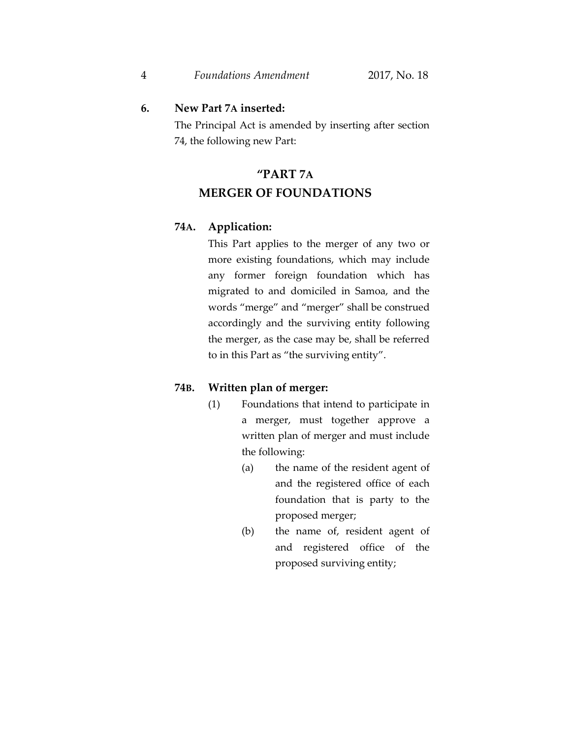### **6. New Part 7A inserted:**

The Principal Act is amended by inserting after section 74, the following new Part:

# **"PART 7A MERGER OF FOUNDATIONS**

#### **74A. Application:**

This Part applies to the merger of any two or more existing foundations, which may include any former foreign foundation which has migrated to and domiciled in Samoa, and the words "merge" and "merger" shall be construed accordingly and the surviving entity following the merger, as the case may be, shall be referred to in this Part as "the surviving entity".

#### **74B. Written plan of merger:**

- (1) Foundations that intend to participate in a merger, must together approve a written plan of merger and must include the following:
	- (a) the name of the resident agent of and the registered office of each foundation that is party to the proposed merger;
	- (b) the name of, resident agent of and registered office of the proposed surviving entity;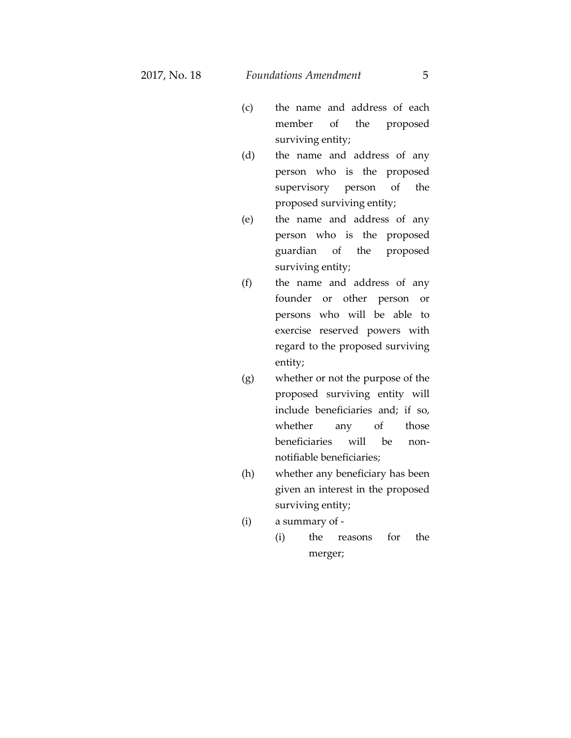- (c) the name and address of each member of the proposed surviving entity;
- (d) the name and address of any person who is the proposed supervisory person of the proposed surviving entity;
- (e) the name and address of any person who is the proposed guardian of the proposed surviving entity;
- (f) the name and address of any founder or other person or persons who will be able to exercise reserved powers with regard to the proposed surviving entity;
- (g) whether or not the purpose of the proposed surviving entity will include beneficiaries and; if so, whether any of those beneficiaries will be nonnotifiable beneficiaries;
- (h) whether any beneficiary has been given an interest in the proposed surviving entity;
- (i) a summary of
	- (i) the reasons for the merger;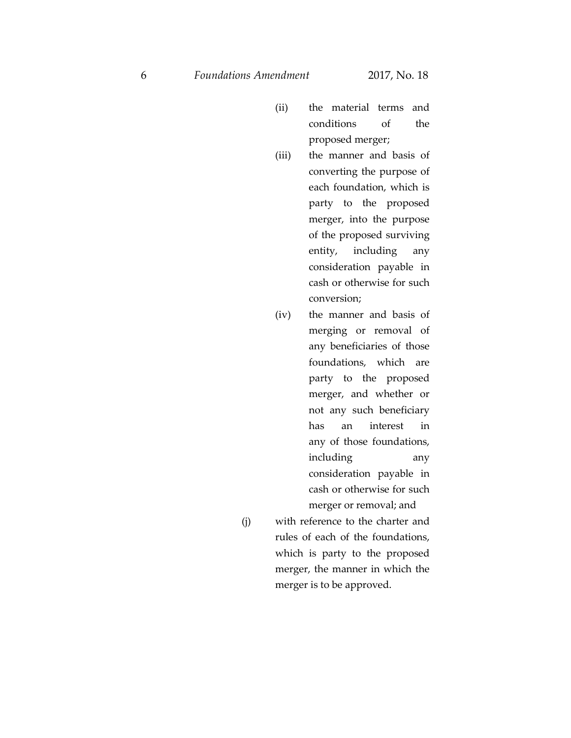- (ii) the material terms and conditions of the proposed merger;
- (iii) the manner and basis of converting the purpose of each foundation, which is party to the proposed merger, into the purpose of the proposed surviving entity, including any consideration payable in cash or otherwise for such conversion;
- (iv) the manner and basis of merging or removal of any beneficiaries of those foundations, which are party to the proposed merger, and whether or not any such beneficiary has an interest in any of those foundations, including any consideration payable in cash or otherwise for such merger or removal; and
- (j) with reference to the charter and rules of each of the foundations, which is party to the proposed merger, the manner in which the merger is to be approved.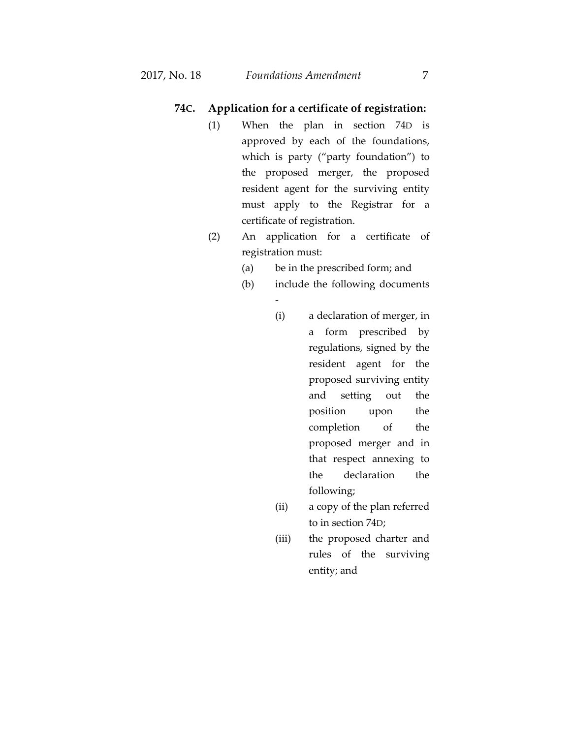#### **74C. Application for a certificate of registration:**

- (1) When the plan in section 74D is approved by each of the foundations, which is party ("party foundation") to the proposed merger, the proposed resident agent for the surviving entity must apply to the Registrar for a certificate of registration.
- (2) An application for a certificate of registration must:

-

- (a) be in the prescribed form; and
- (b) include the following documents
	- (i) a declaration of merger, in a form prescribed by regulations, signed by the resident agent for the proposed surviving entity and setting out the position upon the completion of the proposed merger and in that respect annexing to the declaration the following;
	- (ii) a copy of the plan referred to in section 74D;
	- (iii) the proposed charter and rules of the surviving entity; and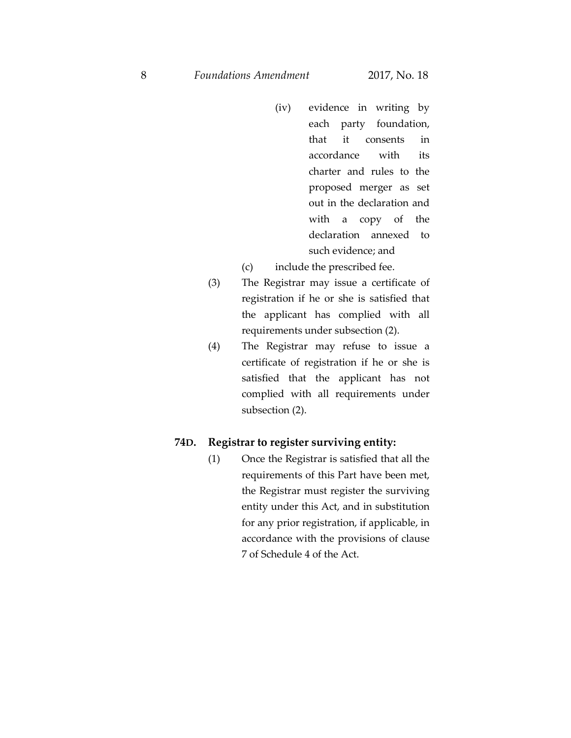- (iv) evidence in writing by each party foundation, that it consents in accordance with its charter and rules to the proposed merger as set out in the declaration and with a copy of the declaration annexed to such evidence; and
- (c) include the prescribed fee.
- (3) The Registrar may issue a certificate of registration if he or she is satisfied that the applicant has complied with all requirements under subsection (2).
- (4) The Registrar may refuse to issue a certificate of registration if he or she is satisfied that the applicant has not complied with all requirements under subsection (2).

#### **74D. Registrar to register surviving entity:**

(1) Once the Registrar is satisfied that all the requirements of this Part have been met, the Registrar must register the surviving entity under this Act, and in substitution for any prior registration, if applicable, in accordance with the provisions of clause 7 of Schedule 4 of the Act.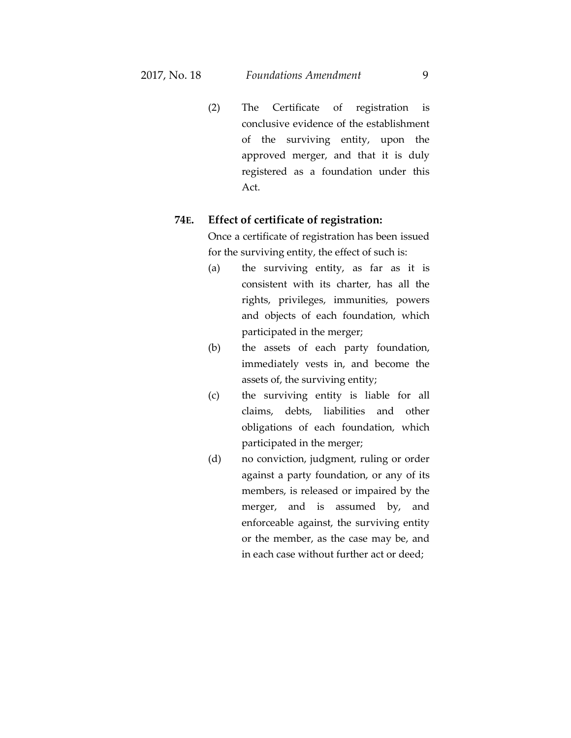(2) The Certificate of registration is conclusive evidence of the establishment of the surviving entity, upon the approved merger, and that it is duly registered as a foundation under this Act.

## **74E. Effect of certificate of registration:**

Once a certificate of registration has been issued for the surviving entity, the effect of such is:

- (a) the surviving entity, as far as it is consistent with its charter, has all the rights, privileges, immunities, powers and objects of each foundation, which participated in the merger;
- (b) the assets of each party foundation, immediately vests in, and become the assets of, the surviving entity;
- (c) the surviving entity is liable for all claims, debts, liabilities and other obligations of each foundation, which participated in the merger;
- (d) no conviction, judgment, ruling or order against a party foundation, or any of its members, is released or impaired by the merger, and is assumed by, and enforceable against, the surviving entity or the member, as the case may be, and in each case without further act or deed;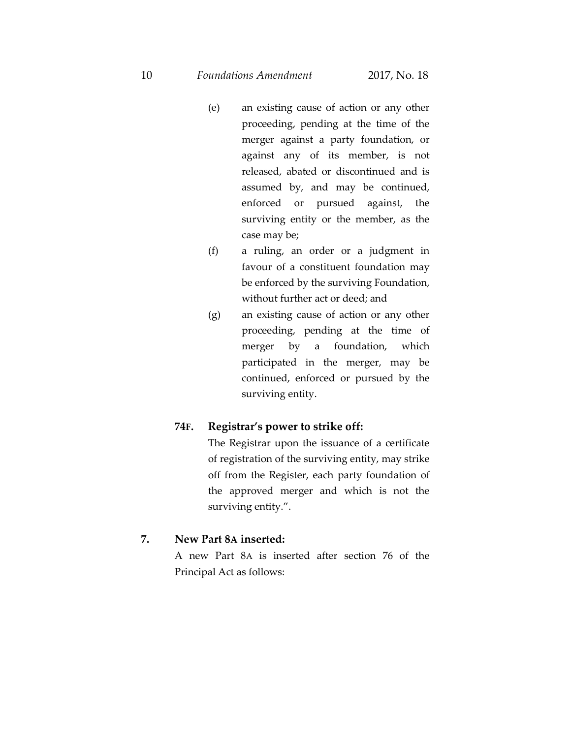10 *Foundations Amendment* 2017, No. 18

- (e) an existing cause of action or any other proceeding, pending at the time of the merger against a party foundation, or against any of its member, is not released, abated or discontinued and is assumed by, and may be continued, enforced or pursued against, the surviving entity or the member, as the case may be;
- (f) a ruling, an order or a judgment in favour of a constituent foundation may be enforced by the surviving Foundation, without further act or deed; and
- (g) an existing cause of action or any other proceeding, pending at the time of merger by a foundation, which participated in the merger, may be continued, enforced or pursued by the surviving entity.

## **74F. Registrar's power to strike off:**

The Registrar upon the issuance of a certificate of registration of the surviving entity, may strike off from the Register, each party foundation of the approved merger and which is not the surviving entity.".

#### **7. New Part 8A inserted:**

A new Part 8A is inserted after section 76 of the Principal Act as follows: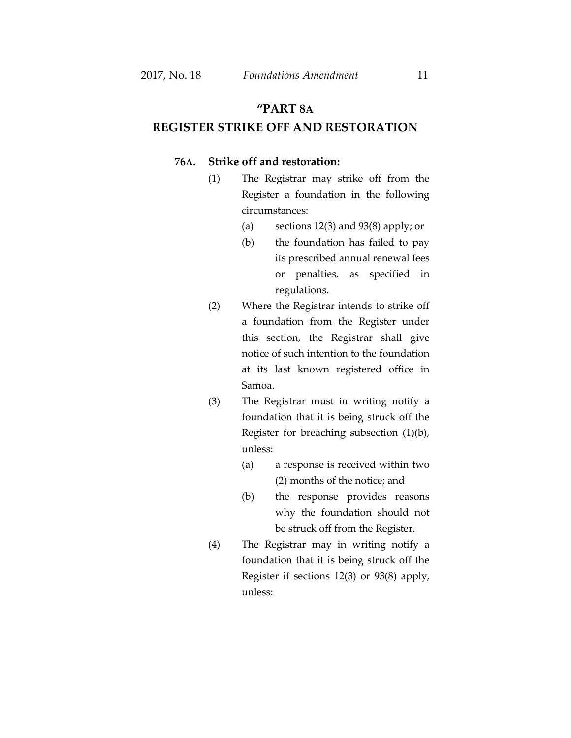## **"PART 8A**

## **REGISTER STRIKE OFF AND RESTORATION**

#### **76A. Strike off and restoration:**

- (1) The Registrar may strike off from the Register a foundation in the following circumstances:
	- (a) sections 12(3) and 93(8) apply; or
	- (b) the foundation has failed to pay its prescribed annual renewal fees or penalties, as specified in regulations.
- (2) Where the Registrar intends to strike off a foundation from the Register under this section, the Registrar shall give notice of such intention to the foundation at its last known registered office in Samoa.
- (3) The Registrar must in writing notify a foundation that it is being struck off the Register for breaching subsection (1)(b), unless:
	- (a) a response is received within two (2) months of the notice; and
	- (b) the response provides reasons why the foundation should not be struck off from the Register.
- (4) The Registrar may in writing notify a foundation that it is being struck off the Register if sections 12(3) or 93(8) apply, unless: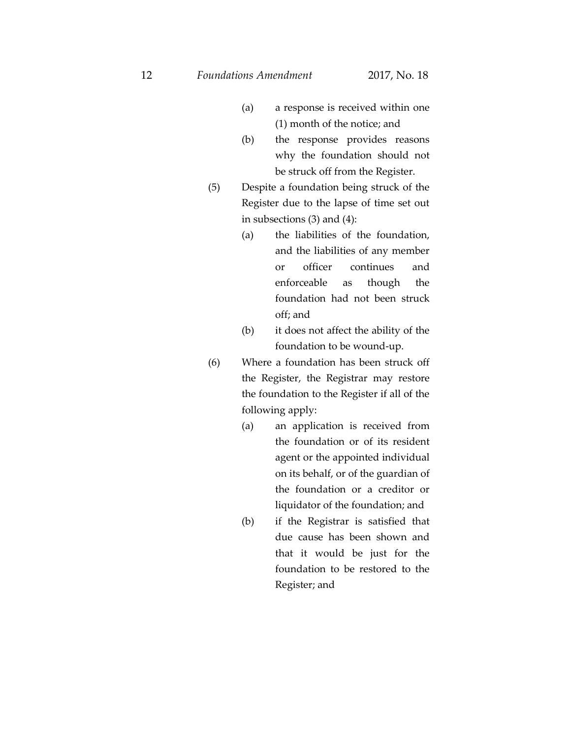- (a) a response is received within one (1) month of the notice; and
- (b) the response provides reasons why the foundation should not be struck off from the Register.
- (5) Despite a foundation being struck of the Register due to the lapse of time set out in subsections (3) and (4):
	- (a) the liabilities of the foundation, and the liabilities of any member or officer continues and enforceable as though the foundation had not been struck off; and
	- (b) it does not affect the ability of the foundation to be wound-up.
- (6) Where a foundation has been struck off the Register, the Registrar may restore the foundation to the Register if all of the following apply:
	- (a) an application is received from the foundation or of its resident agent or the appointed individual on its behalf, or of the guardian of the foundation or a creditor or liquidator of the foundation; and
	- (b) if the Registrar is satisfied that due cause has been shown and that it would be just for the foundation to be restored to the Register; and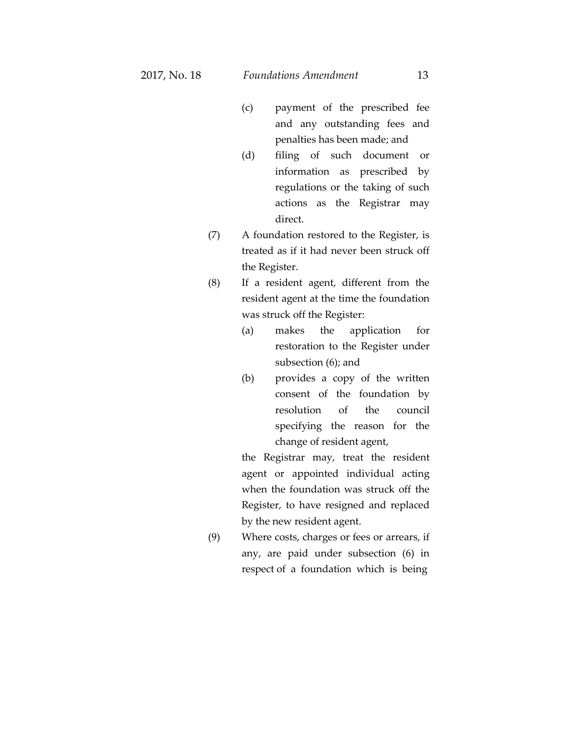- (c) payment of the prescribed fee and any outstanding fees and penalties has been made; and
- (d) filing of such document or information as prescribed by regulations or the taking of such actions as the Registrar may direct.
- (7) A foundation restored to the Register, is treated as if it had never been struck off the Register.
- (8) If a resident agent, different from the resident agent at the time the foundation was struck off the Register:
	- (a) makes the application for restoration to the Register under subsection (6); and
	- (b) provides a copy of the written consent of the foundation by resolution of the council specifying the reason for the change of resident agent,

the Registrar may, treat the resident agent or appointed individual acting when the foundation was struck off the Register, to have resigned and replaced by the new resident agent.

(9) Where costs, charges or fees or arrears, if any, are paid under subsection (6) in respect of a foundation which is being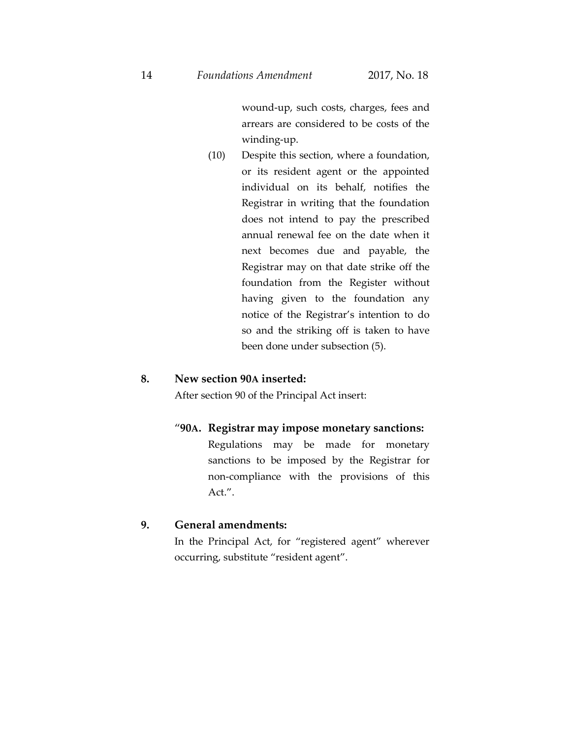wound-up, such costs, charges, fees and arrears are considered to be costs of the winding-up.

(10) Despite this section, where a foundation, or its resident agent or the appointed individual on its behalf, notifies the Registrar in writing that the foundation does not intend to pay the prescribed annual renewal fee on the date when it next becomes due and payable, the Registrar may on that date strike off the foundation from the Register without having given to the foundation any notice of the Registrar's intention to do so and the striking off is taken to have been done under subsection (5).

#### **8. New section 90A inserted:**

After section 90 of the Principal Act insert:

#### "**90A. Registrar may impose monetary sanctions:**

Regulations may be made for monetary sanctions to be imposed by the Registrar for non-compliance with the provisions of this Act.".

#### **9. General amendments:**

In the Principal Act, for "registered agent" wherever occurring, substitute "resident agent".